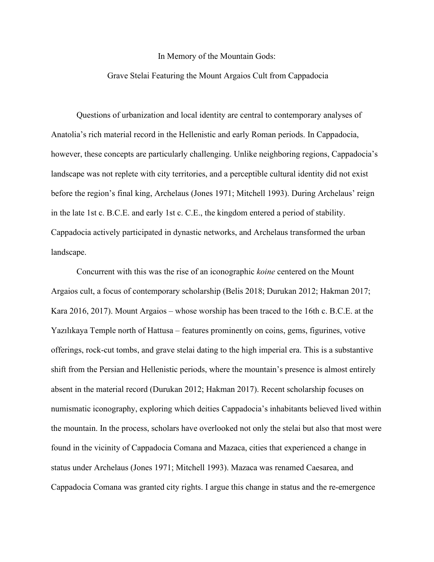## In Memory of the Mountain Gods:

## Grave Stelai Featuring the Mount Argaios Cult from Cappadocia

 Questions of urbanization and local identity are central to contemporary analyses of Anatolia's rich material record in the Hellenistic and early Roman periods. In Cappadocia, however, these concepts are particularly challenging. Unlike neighboring regions, Cappadocia's landscape was not replete with city territories, and a perceptible cultural identity did not exist before the region's final king, Archelaus (Jones 1971; Mitchell 1993). During Archelaus' reign in the late 1st c. B.C.E. and early 1st c. C.E., the kingdom entered a period of stability. Cappadocia actively participated in dynastic networks, and Archelaus transformed the urban landscape.

Concurrent with this was the rise of an iconographic *koine* centered on the Mount Argaios cult, a focus of contemporary scholarship (Belis 2018; Durukan 2012; Hakman 2017; Kara 2016, 2017). Mount Argaios – whose worship has been traced to the 16th c. B.C.E. at the Yazılıkaya Temple north of Hattusa – features prominently on coins, gems, figurines, votive offerings, rock-cut tombs, and grave stelai dating to the high imperial era. This is a substantive shift from the Persian and Hellenistic periods, where the mountain's presence is almost entirely absent in the material record (Durukan 2012; Hakman 2017). Recent scholarship focuses on numismatic iconography, exploring which deities Cappadocia's inhabitants believed lived within the mountain. In the process, scholars have overlooked not only the stelai but also that most were found in the vicinity of Cappadocia Comana and Mazaca, cities that experienced a change in status under Archelaus (Jones 1971; Mitchell 1993). Mazaca was renamed Caesarea, and Cappadocia Comana was granted city rights. I argue this change in status and the re-emergence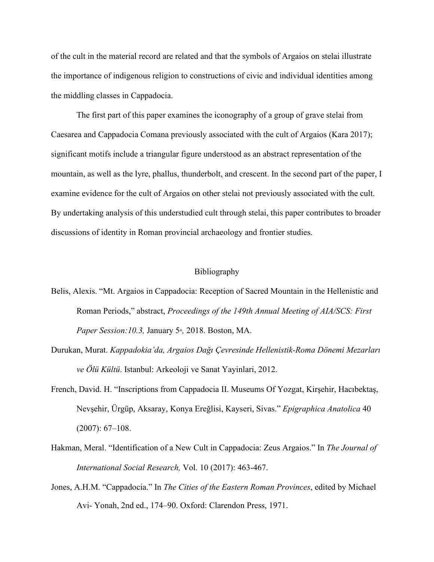of the cult in the material record are related and that the symbols of Argaios on stelai illustrate the importance of indigenous religion to constructions of civic and individual identities among the middling classes in Cappadocia.

The first part of this paper examines the iconography of a group of grave stelai from Caesarea and Cappadocia Comana previously associated with the cult of Argaios (Kara 2017); significant motifs include a triangular figure understood as an abstract representation of the mountain, as well as the lyre, phallus, thunderbolt, and crescent. In the second part of the paper, I examine evidence for the cult of Argaios on other stelai not previously associated with the cult. By undertaking analysis of this understudied cult through stelai, this paper contributes to broader discussions of identity in Roman provincial archaeology and frontier studies.

## Bibliography

- Belis, Alexis. "Mt. Argaios in Cappadocia: Reception of Sacred Mountain in the Hellenistic and Roman Periods," abstract, *Proceedings of the 149th Annual Meeting of AIA/SCS: First Paper Session:10.3, January 5<sup>th</sup>, 2018. Boston, MA.*
- Durukan, Murat. *Kappadokia'da, Argaios Dağı Çevresinde Hellenistik-Roma Dönemi Mezarları ve Ölü Kültü*. Istanbul: Arkeoloji ve Sanat Yayinlari, 2012.
- French, David. H. "Inscriptions from Cappadocia II. Museums Of Yozgat, Kirşehir, Hacıbektaş, Nevşehir, Ürgüp, Aksaray, Konya Ereğlisi, Kayseri, Sivas." *Epigraphica Anatolica* 40 (2007): 67–108.
- Hakman, Meral. "Identification of a New Cult in Cappadocia: Zeus Argaios." In *The Journal of International Social Research,* Vol. 10 (2017): 463-467.
- Jones, A.H.M. "Cappadocia." In *The Cities of the Eastern Roman Provinces*, edited by Michael Avi- Yonah, 2nd ed., 174–90. Oxford: Clarendon Press, 1971.